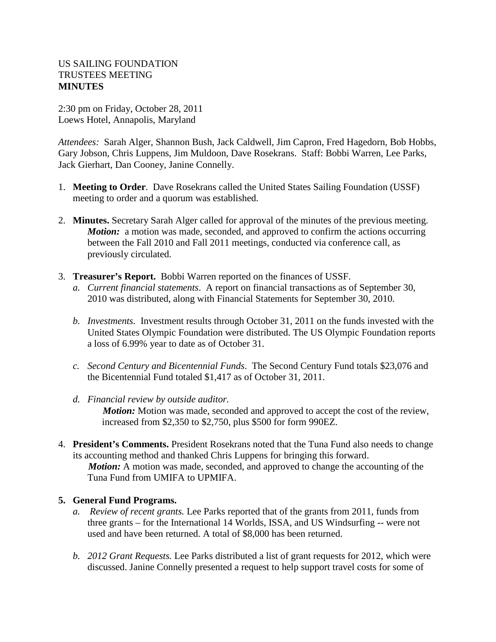## US SAILING FOUNDATION TRUSTEES MEETING **MINUTES**

2:30 pm on Friday, October 28, 2011 Loews Hotel, Annapolis, Maryland

*Attendees:* Sarah Alger, Shannon Bush, Jack Caldwell, Jim Capron, Fred Hagedorn, Bob Hobbs, Gary Jobson, Chris Luppens, Jim Muldoon, Dave Rosekrans. Staff: Bobbi Warren, Lee Parks, Jack Gierhart, Dan Cooney, Janine Connelly.

- 1. **Meeting to Order**. Dave Rosekrans called the United States Sailing Foundation (USSF) meeting to order and a quorum was established.
- 2. **Minutes.** Secretary Sarah Alger called for approval of the minutes of the previous meeting. *Motion:* a motion was made, seconded, and approved to confirm the actions occurring between the Fall 2010 and Fall 2011 meetings, conducted via conference call, as previously circulated.
- 3. **Treasurer's Report.** Bobbi Warren reported on the finances of USSF.
	- *a. Current financial statements*. A report on financial transactions as of September 30, 2010 was distributed, along with Financial Statements for September 30, 2010.
	- *b. Investments.* Investment results through October 31, 2011 on the funds invested with the United States Olympic Foundation were distributed. The US Olympic Foundation reports a loss of 6.99% year to date as of October 31.
	- *c. Second Century and Bicentennial Funds*. The Second Century Fund totals \$23,076 and the Bicentennial Fund totaled \$1,417 as of October 31, 2011.
	- *d. Financial review by outside auditor. Motion:* Motion was made, seconded and approved to accept the cost of the review, increased from \$2,350 to \$2,750, plus \$500 for form 990EZ.
- 4. **President's Comments.** President Rosekrans noted that the Tuna Fund also needs to change its accounting method and thanked Chris Luppens for bringing this forward. *Motion:* A motion was made, seconded, and approved to change the accounting of the Tuna Fund from UMIFA to UPMIFA.

## **5. General Fund Programs.**

- *a. Review of recent grants.* Lee Parks reported that of the grants from 2011, funds from three grants – for the International 14 Worlds, ISSA, and US Windsurfing -- were not used and have been returned. A total of \$8,000 has been returned.
- *b. 2012 Grant Requests.* Lee Parks distributed a list of grant requests for 2012, which were discussed. Janine Connelly presented a request to help support travel costs for some of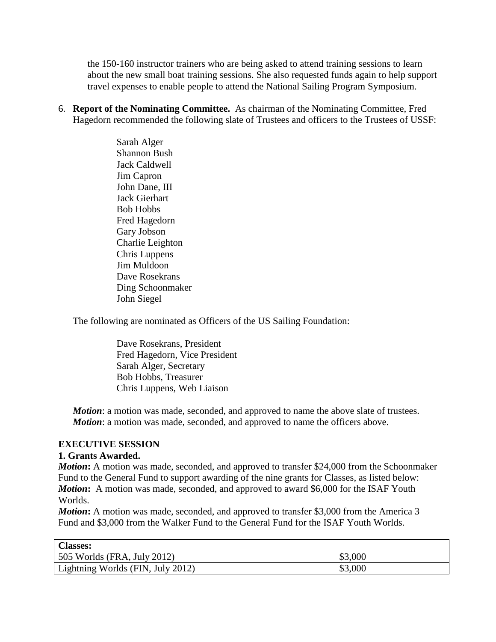the 150-160 instructor trainers who are being asked to attend training sessions to learn about the new small boat training sessions. She also requested funds again to help support travel expenses to enable people to attend the National Sailing Program Symposium.

6. **Report of the Nominating Committee.** As chairman of the Nominating Committee, Fred Hagedorn recommended the following slate of Trustees and officers to the Trustees of USSF:

> Sarah Alger Shannon Bush Jack Caldwell Jim Capron John Dane, III Jack Gierhart Bob Hobbs Fred Hagedorn Gary Jobson Charlie Leighton Chris Luppens Jim Muldoon Dave Rosekrans Ding Schoonmaker John Siegel

The following are nominated as Officers of the US Sailing Foundation:

Dave Rosekrans, President Fred Hagedorn, Vice President Sarah Alger, Secretary Bob Hobbs, Treasurer Chris Luppens, Web Liaison

*Motion*: a motion was made, seconded, and approved to name the above slate of trustees. *Motion*: a motion was made, seconded, and approved to name the officers above.

## **EXECUTIVE SESSION**

## **1. Grants Awarded.**

*Motion*: A motion was made, seconded, and approved to transfer \$24,000 from the Schoonmaker Fund to the General Fund to support awarding of the nine grants for Classes, as listed below: *Motion*: A motion was made, seconded, and approved to award \$6,000 for the ISAF Youth Worlds.

*Motion*: A motion was made, seconded, and approved to transfer \$3,000 from the America 3 Fund and \$3,000 from the Walker Fund to the General Fund for the ISAF Youth Worlds.

| <b>Classes:</b>                     |         |
|-------------------------------------|---------|
| $\vert$ 505 Worlds (FRA, July 2012) | \$3,000 |
| Lightning Worlds (FIN, July 2012)   | \$3,000 |